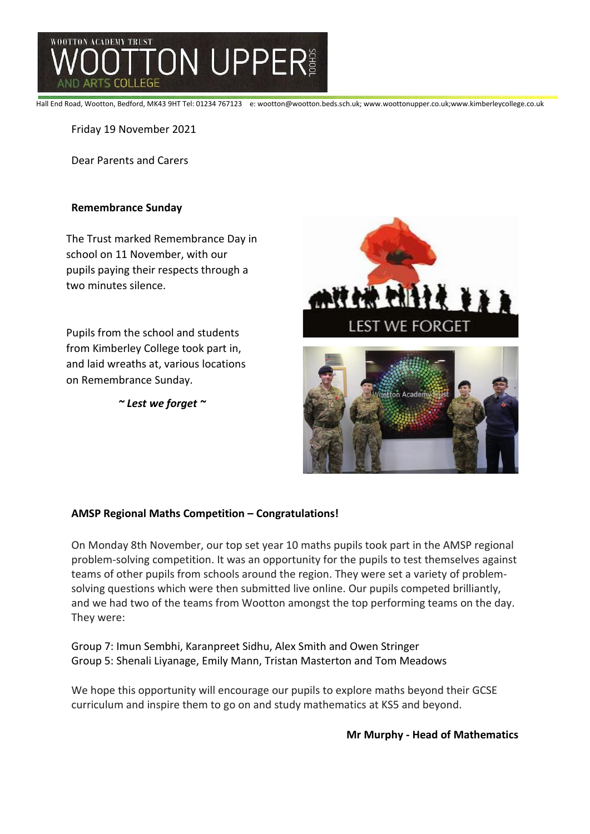

Hall End Road, Wootton, Bedford, MK43 9HT Tel: 01234 767123 e: wootton@wootton.beds.sch.uk; www.woottonupper.co.uk;www.kimberleycollege.co.uk

Friday 19 November 2021

Dear Parents and Carers

# **Remembrance Sunday**

The Trust marked Remembrance Day in school on 11 November, with our pupils paying their respects through a two minutes silence.

Pupils from the school and students from Kimberley College took part in, and laid wreaths at, various locations on Remembrance Sunday.

*~ Lest we forget ~*



### **AMSP Regional Maths Competition – Congratulations!**

On Monday 8th November, our top set year 10 maths pupils took part in the AMSP regional problem-solving competition. It was an opportunity for the pupils to test themselves against teams of other pupils from schools around the region. They were set a variety of problemsolving questions which were then submitted live online. Our pupils competed brilliantly, and we had two of the teams from Wootton amongst the top performing teams on the day. They were:

Group 7: Imun Sembhi, Karanpreet Sidhu, Alex Smith and Owen Stringer Group 5: Shenali Liyanage, Emily Mann, Tristan Masterton and Tom Meadows

We hope this opportunity will encourage our pupils to explore maths beyond their GCSE curriculum and inspire them to go on and study mathematics at KS5 and beyond.

**Mr Murphy - Head of Mathematics**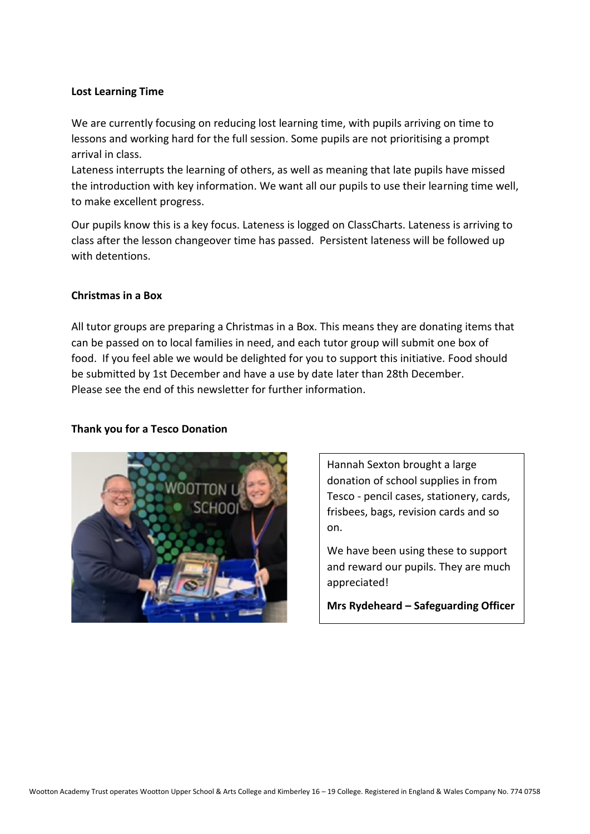# **Lost Learning Time**

We are currently focusing on reducing lost learning time, with pupils arriving on time to lessons and working hard for the full session. Some pupils are not prioritising a prompt arrival in class.

Lateness interrupts the learning of others, as well as meaning that late pupils have missed the introduction with key information. We want all our pupils to use their learning time well, to make excellent progress.

Our pupils know this is a key focus. Lateness is logged on ClassCharts. Lateness is arriving to class after the lesson changeover time has passed. Persistent lateness will be followed up with detentions.

## **Christmas in a Box**

All tutor groups are preparing a Christmas in a Box. This means they are donating items that can be passed on to local families in need, and each tutor group will submit one box of food. If you feel able we would be delighted for you to support this initiative. Food should be submitted by 1st December and have a use by date later than 28th December. Please see the end of this newsletter for further information.

### **Thank you for a Tesco Donation**



Hannah Sexton brought a large donation of school supplies in from Tesco - pencil cases, stationery, cards, frisbees, bags, revision cards and so on.

We have been using these to support and reward our pupils. They are much appreciated!

**Mrs Rydeheard – Safeguarding Officer**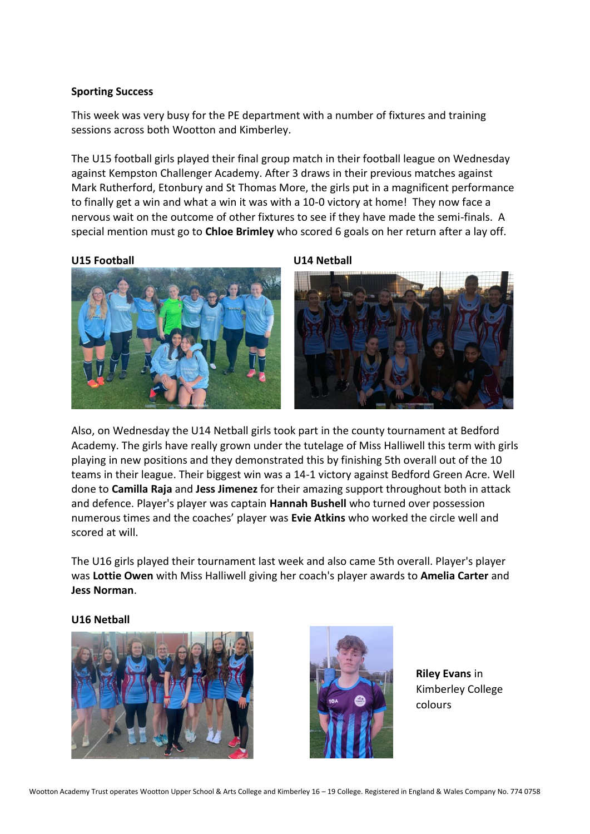# **Sporting Success**

This week was very busy for the PE department with a number of fixtures and training sessions across both Wootton and Kimberley.

The U15 football girls played their final group match in their football league on Wednesday against Kempston Challenger Academy. After 3 draws in their previous matches against Mark Rutherford, Etonbury and St Thomas More, the girls put in a magnificent performance to finally get a win and what a win it was with a 10-0 victory at home! They now face a nervous wait on the outcome of other fixtures to see if they have made the semi-finals. A special mention must go to **Chloe Brimley** who scored 6 goals on her return after a lay off.

### **U15 Football U14 Netball**





Also, on Wednesday the U14 Netball girls took part in the county tournament at Bedford Academy. The girls have really grown under the tutelage of Miss Halliwell this term with girls playing in new positions and they demonstrated this by finishing 5th overall out of the 10 teams in their league. Their biggest win was a 14-1 victory against Bedford Green Acre. Well done to **Camilla Raja** and **Jess Jimenez** for their amazing support throughout both in attack and defence. Player's player was captain **Hannah Bushell** who turned over possession numerous times and the coaches' player was **Evie Atkins** who worked the circle well and scored at will.

The U16 girls played their tournament last week and also came 5th overall. Player's player was **Lottie Owen** with Miss Halliwell giving her coach's player awards to **Amelia Carter** and **Jess Norman**.

### **U16 Netball**





**Riley Evans** in Kimberley College colours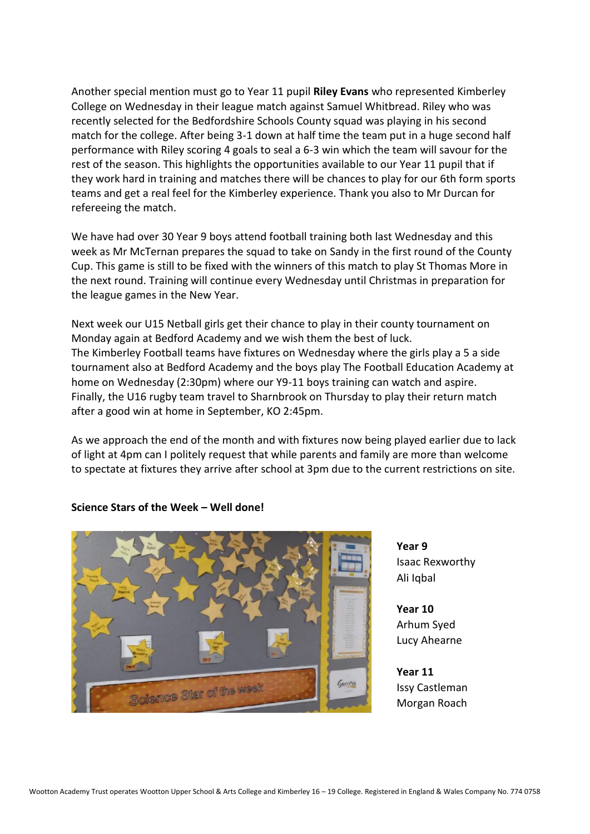Another special mention must go to Year 11 pupil **Riley Evans** who represented Kimberley College on Wednesday in their league match against Samuel Whitbread. Riley who was recently selected for the Bedfordshire Schools County squad was playing in his second match for the college. After being 3-1 down at half time the team put in a huge second half performance with Riley scoring 4 goals to seal a 6-3 win which the team will savour for the rest of the season. This highlights the opportunities available to our Year 11 pupil that if they work hard in training and matches there will be chances to play for our 6th form sports teams and get a real feel for the Kimberley experience. Thank you also to Mr Durcan for refereeing the match.

We have had over 30 Year 9 boys attend football training both last Wednesday and this week as Mr McTernan prepares the squad to take on Sandy in the first round of the County Cup. This game is still to be fixed with the winners of this match to play St Thomas More in the next round. Training will continue every Wednesday until Christmas in preparation for the league games in the New Year.

Next week our U15 Netball girls get their chance to play in their county tournament on Monday again at Bedford Academy and we wish them the best of luck. The Kimberley Football teams have fixtures on Wednesday where the girls play a 5 a side tournament also at Bedford Academy and the boys play The Football Education Academy at home on Wednesday (2:30pm) where our Y9-11 boys training can watch and aspire. Finally, the U16 rugby team travel to Sharnbrook on Thursday to play their return match after a good win at home in September, KO 2:45pm.

As we approach the end of the month and with fixtures now being played earlier due to lack of light at 4pm can I politely request that while parents and family are more than welcome to spectate at fixtures they arrive after school at 3pm due to the current restrictions on site.



# **Science Stars of the Week – Well done!**

**Year 9** Isaac Rexworthy Ali Iqbal

**Year 10** Arhum Syed Lucy Ahearne

**Year 11** Issy Castleman Morgan Roach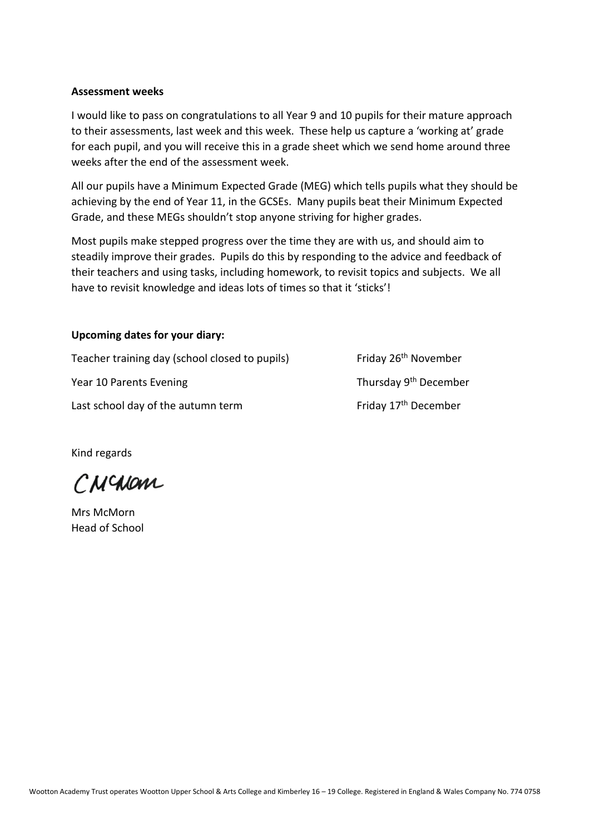## **Assessment weeks**

I would like to pass on congratulations to all Year 9 and 10 pupils for their mature approach to their assessments, last week and this week. These help us capture a 'working at' grade for each pupil, and you will receive this in a grade sheet which we send home around three weeks after the end of the assessment week.

All our pupils have a Minimum Expected Grade (MEG) which tells pupils what they should be achieving by the end of Year 11, in the GCSEs. Many pupils beat their Minimum Expected Grade, and these MEGs shouldn't stop anyone striving for higher grades.

Most pupils make stepped progress over the time they are with us, and should aim to steadily improve their grades. Pupils do this by responding to the advice and feedback of their teachers and using tasks, including homework, to revisit topics and subjects. We all have to revisit knowledge and ideas lots of times so that it 'sticks'!

# **Upcoming dates for your diary:**

Teacher training day (school closed to pupils) Friday 26<sup>th</sup> November Year 10 Parents Evening Thursday 9<sup>th</sup> December Last school day of the autumn term Friday 17<sup>th</sup> December

Kind regards

CNCNOM

Mrs McMorn Head of School